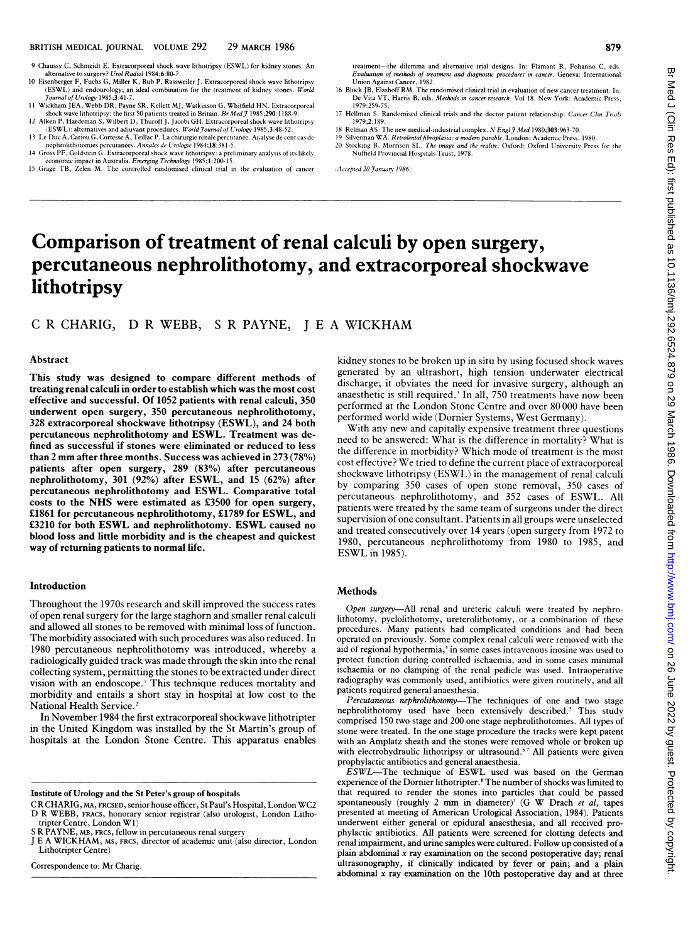9 Chussy C, Schmeidt E. Extacoporeal shock wave lithotripsy (ESWL) for kidney stones. An alternative to surgery? Urol Radiol 1984;6:80-7.

<sup>10</sup> Eisenberger F, Fuchs G, Miler K, Bub P, Rassweiler J. Extracorporeal shock wave lithotripsy (ESWL) and endourology; an ideal combination for the treatment of kidney stones. *World*<br>Journal of Urology 1985;3:41-7.

- <sup>11</sup> Wickkhm JEA, Webb DR, Payne SR, Kellett MJ, Watkinson G, Whitfield HN. Extracorporeal shock wave lithotripsy: the first 50 patients treated in Britain. Br Med J 1985;290:1188
- 12 Alken P, Hardeman S, Wilbert D, Thuroff J, Jacobi GH. Extracorporeal shock wave lithotripsy (ESWL): alternatives and adjuvant procedures. *World Journal of Urology* 1985;3:48-52.
- 13 Le Duc A, Cariou G, Cortesse A, Teillac P. La chirurgie rénale percutanée. Analyse de cent cas de<br>néphrolithotomies percutanées. Annales de Urologie 1984;18:381-5.
- 14 Gross PF, Goldstein G. Extracorporeal shock wave lithotripsy: a preliminary analysis of its likely economic impact in Austalia. Emerging Tcdhology 1985;1:200-15.
- <sup>15</sup> Grage TB, Zelen M. The controlled randomised clinical trial in the evaluation of cancer

treatment-the dilemma and alternative trial designs. In: Flamant R, Fohanno C, eds. Evaluation of methods of treatment and diagnostic procedures in cancer. Geneva: International Union Against Cancer, 1982.

- <sup>16</sup> Block JB, Elashoff RM. The randomised clinical trial in evaluation of new cancer treatment. In: De Vita VT, Harris B, eds. Methods in cancer research. Vol 18. New York: Academic Press, 1979:259-75.
- 17 Hellman S. Randomised clinical trials and the doctor patient relationship. Cancer Clin Trials 1979-2-189
- 1979;2:189.<br>18 Relman AS. The new medical-industrial complex. *N Engl J Med* 1980;303:963-70.
- 19 Silverman W.A*. Retrolental fibroplasia: a modern parable.* London: Academic Press, 1980.<br>20 Stocking B, Morrison SL*. The image and the reality.* Oxford: Oxford University Press for the
- Nuffield Provincial Hospitals Trust, 1978.

(Accepted 20 January 1986)

# Comparison of treatment of renal calculi by open surgery, percutaneous nephrolithotomy, and extracorporeal shockwave lithotripsy

# C R CHARIG, D R WEBB, <sup>S</sup> R PAYNE, <sup>J</sup> E A WICKHAM

### Abstract

This study was designed to compare different methods of treating renal calculi in order to establish which was the most cost effective and successful. Of 1052 patients with renal calculi, 350 underwent open surgery, 350 percutaneous nephrolithotomy, 328 extracorporeal shockwave lithotripsy (ESWL), and 24 both percutaneous nephrolithotomy and ESWL. Treatment was defined as successful if stones were eliminated or reduced to less than <sup>2</sup> mm after three months. Success was achieved in <sup>273</sup> (78%) patients after open surgery, 289 (83%) after percutaneous nephrolithotomy, 301 (92%) after ESWL, and <sup>15</sup> (62%) after percutaneous nephrolithotomy and ESWL. Comparative total costs to the NHS were estimated as £3500 for open surgery, £1861 for percutaneous nephrolithotomy, £1789 for ESWL, and £3210 for both ESWL and nephrolithotomy. ESWL caused no blood loss and little morbidity and is the cheapest and quickest way of returning patients to normal life.

## Introduction

Throughout the 1970s research and skill improved the success rates of open renal surgery for the large staghorn and smaller renal calculi and allowed all stones to be removed with minimal loss of function. The morbidity associated with such procedures was also reduced. In 1980 percutaneous nephrolithotomy was introduced, whereby a radiologically guided track was made through the skin into the renal collecting system, permitting the stones to be extracted under direct vision with an endoscope.' This technique reduces mortality and morbidity and entails a short stay in hospital at low cost to the National Health Service.

In November 1984 the first extracorporeal shockwave lithotripter in the United Kingdom was installed by the St Martin's group of hospitals at the London Stone Centre. This apparatus enables

Institute of Urology and the St Peter's group of hospitals

Correspondence to: Mr Charig.

kidney stones to be broken up in situ by using focused shock waves generated by an ultrashort, high tension underwater electrical discharge; it obviates the need for invasive surgery, although an anaesthetic is still required.<sup>3</sup> In all, 750 treatments have now been performed at the London Stone Centre and over 80 000 have been performed world wide (Dornier Systems, West Germany).

With any new and capitally expensive treatment three questions need to be answered: What is the difference in mortality? What is the difference in morbidity? Which mode of treatment is the most cost effective? We tried to define the current place of extracorporeal shockwave lithotripsy (ESWL) in the management of renal calculi by comparing 350 cases of open stone removal, 350 cases of percutaneous nephrolithotomy, and 352 cases of ESWL. All patients were treated by the same team of surgeons under the direct supervision of one consultant. Patients in all groups were unselected and treated consecutively over 14 years (open surgery from 1972 to 1980, percutaneous nephrolithotomy from 1980 to 1985, and ESWL in 1985).

## Methods

Open surgery-All renal and ureteric calculi were treated by nephrolithotomy, pyelolithotomy, ureterolithotomy, or a combination of these procedures. Many patients had complicated conditions and had been operated on previously. Some complex renal calculi were removed with the aid of regional hypothermia,<sup>4</sup> in some cases intravenous inosine was used to protect function during controlled ischaemia, and in some cases minimal ischaemia or no clamping of the renal pedicle was used. Intraoperative radiography was commonly used, antibiotics were given routinely, and all patients required general anaesthesia.

Percutaneous nephrolithotomy-The techniques of one and two stage nephrolithotomy used have been extensively described.' This study comprised 150 two stage and 200 one stage nephrolithotomies. All types of stone were treated. In the one stage procedure the tracks were kept patent with an Amplatz sheath and the stones were removed whole or broken up with electrohydraulic lithotripsy or ultrasound.<sup>67</sup> All patients were given prophylactic antibiotics and general anaesthesia.

ESWL-The technique of ESWL used was based on the German experience of the Dornier lithotripter.<sup>8</sup> The number of shocks was limited to that required to render the stones into particles that could be passed spontaneously (roughly 2 mm in diameter)<sup>7</sup> (G W Drach et al, tapes presented at meeting of American Urological Association, 1984). Patients underwent either general or epidural anaesthesia, and all received prophylactic antibiotics. All patients were screened for clotting defects and renal impairment, and urine samples were cultured. Follow up consisted ofa plain abdominal  $x$  ray examination on the second postoperative day; renal ultrasonography, if clinically indicated by fever or pain; and a plain abdominal  $x$  ray examination on the 10th postoperative day and at three

CR CHARIG, MA, FRCSED, senior house officer, St Paul's Hospital, London WC2 D R WEBB, FRACS, honorary senior registrar (also urologist, London Lithotripter Centre, London WI)

S R PAYNE, MB, FRCS, fellow in percutaneous renal surgery

<sup>J</sup> E A WICKHAM, Ms, FRcs, director of academic unit (also director, London Lithotripter Centre)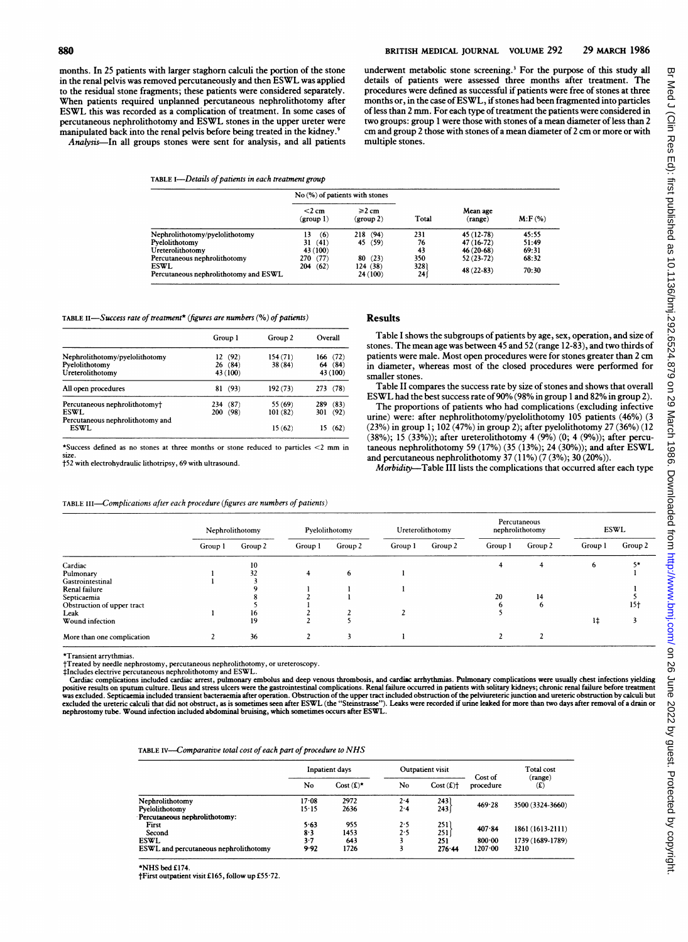underwent metabolic stone screening.<sup>3</sup> For the purpose of this study all details of patients were assessed three months after treatment. The procedures were defined as successful if patients were free of stones at three months or, in the case of ESWL, if stones had been fragmented into particles of less than <sup>2</sup> mm. For each type of treatment the patients were considered in two groups: group <sup>1</sup> were those with stones of a mean diameter of less than 2 cm and group <sup>2</sup> those with stones of <sup>a</sup> mean diameter of <sup>2</sup> cm or more or with

months. In 25 patients with larger staghorn calculi the portion of the stone in the renal pelvis was removed percutaneously and then ESWL was applied to the residual stone fragments; these patients were considered separately. When patients required unplanned percutaneous nephrolithotomy after ESWL this was recorded as <sup>a</sup> complication of treatment. In some cases of percutaneous nephrolithotomy and ESWL stones in the upper ureter were manipulated back into the renal pelvis before being treated in the kidney.<sup>9</sup>

Analysis-In all groups stones were sent for analysis, and all patients

TABLE I-Details of patients in each treatment group

|                                                      |                      | $No$ (%) of patients with stones |              |                     |             |  |
|------------------------------------------------------|----------------------|----------------------------------|--------------|---------------------|-------------|--|
|                                                      | $<$ 2 cm<br>(group1) | $\geq 2$ cm<br>(group 2)         | Total        | Mean age<br>(range) | $M: F(\% )$ |  |
| Nephrolithotomy/pyelolithotomy                       | (6)<br>13            | (94)<br>218                      | 231          | 45 (12-78)          | 45:55       |  |
| Pyelolithotomy                                       | 31<br>(41)           | 45 (59)                          | 76           | $47(16-72)$         | 51:49       |  |
| Ureterolithotomy                                     | 43 (100)             |                                  | 43           | $46(20-68)$         | 69:31       |  |
| Percutaneous nephrolithotomy                         | 270(77)              | (23)<br>80                       | 350          | $52(23-72)$         | 68:32       |  |
| <b>ESWL</b><br>Percutaneous nephrolithotomy and ESWL | 204(62)              | 124(38)<br>24 (100)              | 328)<br>24 ( | $48(22-83)$         | 70:30       |  |

TABLE II-Success rate of treatment<sup>\*</sup> (figures are numbers  $%$  (%) of patients)

|                                                                                                 | Group 1                            | Group 2                      | Overall                                  |
|-------------------------------------------------------------------------------------------------|------------------------------------|------------------------------|------------------------------------------|
| Nephrolithotomy/pyelolithotomy<br>Pyelolithotomy<br>Ureterolithotomy                            | (92)<br>12.<br>26 (84)<br>43 (100) | 154(71)<br>38(84)            | 166 $(72)$<br>64 (84)<br>43 (100)        |
| All open procedures                                                                             | 81 (93)                            | 192 (73)                     | 273 (78)                                 |
| Percutaneous nephrolithotomy†<br><b>ESWL</b><br>Percutaneous nephrolithotomy and<br><b>ESWL</b> | (87)<br>234<br>200 (98)            | 55 (69)<br>101(82)<br>15(62) | (83)<br>289<br>(92)<br>301<br>(62)<br>15 |

\*Success defined as no stones at three months or stone reduced to particles  $\leq 2$  mm in

TABLE III-Complications after each procedure (figures are numbers of patients)

size. t52 with electrohydraulic lithotripsy, 69 with ultrasound.

#### Results

multiple stones.

Table <sup>I</sup> shows the subgroups of patients by age, sex, operation, and size of stones. The mean age was between 45 and 52 (range 12-83), and two thirds of patients were male. Most open procedures were for stones greater than <sup>2</sup> cm in diameter, whereas most of the closed procedures were performed for smaller stones.

Table II compares the success rate by size of stones and shows that overall ESWL had the best success rate of 90% (98% in group 1 and 82% in group 2).

The proportions of patients who had complications (excluding infective urine) were: after nephrolithotomy/pyelolithotomy 105 patients (46%) (3 (23%) in group 1; 102 (47%) in group 2); after pyelolithotomy 27 (36%) (12  $(38\%)$ ; 15  $(33\%)$ ; after ureterolithotomy 4  $(9\%)$   $(0; 4 (9\%)$ ; after percutaneous nephrolithotomy <sup>59</sup> (17%) (35 (13%); <sup>24</sup> (30%)); and after ESWL and percutaneous nephrolithotomy 37 (11%) (7 (3%); 30 (20%)).

Morbidity-Table III lists the complications that occurred after each type

|                            | Nephrolithotomy |         | Pyelolithotomy |         | Ureterolithotomy |         | Percutaneous<br>nephrolithotomy |         | <b>ESWL</b> |         |
|----------------------------|-----------------|---------|----------------|---------|------------------|---------|---------------------------------|---------|-------------|---------|
|                            | Group 1         | Group 2 | Group 1        | Group 2 | Group 1          | Group 2 | Group 1                         | Group 2 | Group 1     | Group 2 |
| Cardiac                    |                 | 10      |                |         |                  |         |                                 |         | h.          | 5*      |
| Pulmonary                  |                 | 32      |                | 6       |                  |         |                                 |         |             |         |
| Gastrointestinal           |                 |         |                |         |                  |         |                                 |         |             |         |
| Renal failure              |                 |         |                |         |                  |         |                                 |         |             |         |
| Septicaemia                |                 |         |                |         |                  |         | 20                              | 14      |             |         |
| Obstruction of upper tract |                 |         |                |         |                  |         |                                 | n       |             | $15+$   |
| Leak                       |                 | 16      |                |         |                  |         |                                 |         |             |         |
| Wound infection            |                 | 19      |                |         |                  |         |                                 |         | ı‡          |         |
| More than one complication |                 | 36      |                |         |                  |         |                                 |         |             |         |

\*Transient arrythmias.

Treated by needle nephrostomy, percutaneous nephrolithotomy, or ureteroscopy.<br>
#Includes electrive percutaneous nephrolithotomy and ESWL.

#Includes electrive percutaneous nephrolithotomy and ESWL.<br>Cardiac complications included cardiac arrest, pulmonary embolus and deep venous thrombosis, and cardiac arrhythmias. Pulmonary complications were usually chest in nephrostomy tube. Wound infection included abdominal bruising, which sometimes occurs after ESWL.

#### TABLE IV-Comparative total cost of each part of procedure to NHS

|                                       | Inpatient days |             | Outpatient visit |         |                      | Total cost       |
|---------------------------------------|----------------|-------------|------------------|---------|----------------------|------------------|
|                                       | No             | $Cost(f)^*$ | No               | Cost(f) | Cost of<br>procedure | (range)<br>(£)   |
| Nephrolithotomy                       | $17 - 08$      | 2972        | 2.4              | 243     |                      |                  |
| Pvelolithotomv                        | $15 - 15$      | 2636        | 2.4              | 243     | 469.28               | 3500 (3324-3660) |
| Percutaneous nephrolithotomy:         |                |             |                  |         |                      |                  |
| First                                 | 5.63           | 955         | 2.5              | 251     |                      |                  |
| Second                                | 8.3            | 1453        | 2.5              | 251     | $407 - 84$           | 1861 (1613-2111) |
| ESWL                                  | $3 - 7$        | 643         |                  | 251     | $800 - 00$           | 1739 (1689-1789) |
| ESWL and percutaneous nephrolithotomy | 9.92           | 1726        |                  | 276.44  | $1207 - 00$          | 3210             |

\*NHS bed£174.

tFirst outpatient visit £165, follow up £55-72.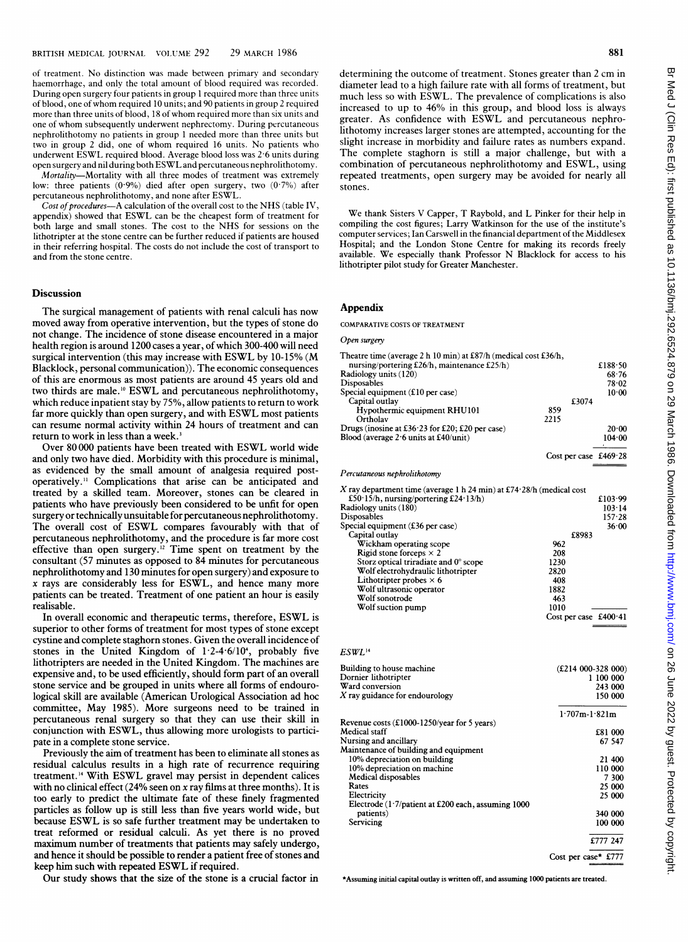of treatment. No distinction was made between primary and secondary haemorrhage, and only the total amount of blood required was recorded. During open surgery four patients in group <sup>1</sup> required more than three units of blood, one of whom required <sup>10</sup> units; and 90 patients in group <sup>2</sup> required more than three units of blood, <sup>18</sup> of whom required more than six units and one of whom subsequently underwent nephrectomy. During percutaneous nephrolithotomy no patients in group <sup>1</sup> needed more than three units but two in group <sup>2</sup> did, one of whom required <sup>16</sup> units. No patients who underwent ESWL required blood. Average blood loss was <sup>2</sup> <sup>6</sup> units during open surgery and nil during both ESWL and percutaneous nephrolithotomy.

Mortality-Mortality with all three modes of treatment was extremely low: three patients (0.9%) died after open surgery, two (0.7%) after percutaneous nephrolithotomy, and none after ESWL.

Cost of procedures-A calculation of the overall cost to the NHS (table IV, appendix) showed that ESWL can be the cheapest form of treatment for both large and small stones. The cost to the NHS for sessions on the lithotripter at the stone centre can be further reduced if patients are housed in their referring hospital. The costs do not include the cost of transport to and from the stone centre.

## **Discussion**

The surgical management of patients with renal calculi has now moved away from operative intervention, but the types of stone do not change. The incidence of stone disease encountered in a major health region is around 1200 cases a year, of which 300-400 will need surgical intervention (this may increase with ESWL by 10-15% (M Blacklock, personal communication)). The economic consequences of this are enormous as most patients are around 45 years old and two thirds are male.<sup>10</sup> ESWL and percutaneous nephrolithotomy, which reduce inpatient stay by 75%, allow patients to return to work far more quickly than open surgery, and with ESWL most patients can resume normal activity within 24 hours of treatment and can return to work in less than a week.<sup>3</sup>

Over <sup>80</sup> <sup>000</sup> patients have been treated with ESWL world wide and only two have died. Morbidity with this procedure is minimal, as evidenced by the small amount of analgesia required postoperatively." Complications that arise can be anticipated and treated by a skilled team. Moreover, stones can be cleared in patients who have previously been considered to be unfit for open surgery or technically unsuitable for percutaneous nephrolithotomy. The overall cost of ESWL compares favourably with that of percutaneous nephrolithotomy, and the procedure is far more cost effective than open surgery.'2 Time spent on treatment by the consultant (57 minutes as opposed to 84 minutes for percutaneous nephrolithotomy and 130 minutes for open surgery) and exposure to <sup>x</sup> rays are considerably less for ESWL, and hence many more patients can be treated. Treatment of one patient an hour is easily realisable.

In overall economic and therapeutic terms, therefore, ESWL is superior to other forms of treatment for most types of stone except cystine and complete staghorn stones. Given the overall incidence of stones in the United Kingdom of  $1.2-4.6/10^4$ , probably five lithotripters are needed in the United Kingdom. The machines are expensive and, to be used efficiently, should form part of an overall stone service and be grouped in units where all forms of endourological skill are available (American Urological Association ad hoc committee, May 1985). More surgeons need to be trained in percutaneous renal surgery so that they can use their skill in conjunction with ESWL, thus allowing more urologists to participate in a complete stone service.

Previously the aim of treatment has been to eliminate all stones as residual calculus results in a high rate of recurrence requiring treatment. '4 With ESWL gravel may persist in dependent calices with no clinical effect (24% seen on  $x$  ray films at three months). It is too early to predict the ultimate fate of these finely fragmented particles as follow up is still less than five years world wide, but because ESWL is so safe further treatment may be undertaken to treat reformed or residual calculi. As yet there is no proved maximum number of treatments that patients may safely undergo, and hence it should be possible to render a patient free of stones and keep him such with repeated ESWL if required.

Our study shows that the size of the stone is a crucial factor in

determining the outcome of treatment. Stones greater than <sup>2</sup> cm in diameter lead to a high failure rate with all forms of treatment, but much less so with ESWL. The prevalence of complications is also increased to up to 46% in this group, and blood loss is always greater. As confidence with ESWL and percutaneous nephrolithotomy increases larger stones are attempted, accounting for the slight increase in morbidity and failure rates as numbers expand. The complete staghorn is still a major challenge, but with a combination of percutaneous nephrolithotomy and ESWL, using repeated treatments, open surgery may be avoided for nearly all stones.

We thank Sisters V Capper, T Raybold, and L Pinker for their help in compiling the cost figures; Larry Watkinson for the use of the institute's computer services; Ian Carswell in the financial department of the Middlesex Hospital; and the London Stone Centre for making its records freely available. We especially thank Professor N Blacklock for access to his lithotripter pilot study for Greater Manchester.

#### Appendix

COMPARATIVE COSTS OF TREATMENT

#### Open surgery

| Theatre time (average 2 h 10 min) at £87/h (medical cost £36/h,      |      |       |                         |
|----------------------------------------------------------------------|------|-------|-------------------------|
| nursing/portering £26/h, maintenance £25/h)                          |      |       | £188.50                 |
| Radiology units (120)                                                |      |       | 68.76                   |
| Disposables                                                          |      |       | 78∙02                   |
| Special equipment $(f10)$ per case)                                  |      |       | 10.00                   |
| Capital outlay                                                       |      | £3074 |                         |
| Hypothermic equipment RHU101                                         | 859  |       |                         |
| Ortholay                                                             | 2215 |       |                         |
| Drugs (inosine at £36.23 for £20; £20 per case)                      |      |       | 20.00                   |
| Blood (average $2.6$ units at £40/unit)                              |      |       | 104.00                  |
|                                                                      |      |       | Cost per case $£469.28$ |
| Percutaneous nephrolithotomy                                         |      |       |                         |
| X ray department time (average 1 h 24 min) at £74.28/h (medical cost |      |       |                         |
| £50.15/h, nursing/portering £24.13/h)                                |      |       | £103.99                 |
| Radiology units (180)                                                |      |       | 103.14                  |
| Disposables                                                          |      |       | 157.28                  |
| Special equipment $(£36$ per case)                                   |      |       | 36∙00                   |
| Capital outlay                                                       |      | £8983 |                         |
| Wickham operating scope                                              | 962  |       |                         |
| Rigid stone forceps $\times$ 2                                       | 208  |       |                         |
| Storz optical triradiate and 0° scope                                | 1230 |       |                         |
| Wolf electrohydraulic lithotripter                                   | 2820 |       |                         |
|                                                                      |      |       |                         |

Lithotripter probes × 6 408<br>Wolf ultrasonic operator 1882 Wolf ultrasonic operator 1882 Wolf sonotrode 463 Wolf suction pump Cost per case £400-41

ESWL14

| Building to house machine                             | $(E214000-328000)$  |
|-------------------------------------------------------|---------------------|
| Dornier lithotripter                                  | 1 100 000           |
| Ward conversion                                       | 243 000             |
| $X$ ray guidance for endourology                      | 150 000             |
|                                                       | $1.707m - 1.821m$   |
| Revenue costs $(E1000-1250/\text{year}$ for 5 years)  |                     |
| Medical staff                                         | £81 000             |
| Nursing and ancillary                                 | 67 547              |
| Maintenance of building and equipment                 |                     |
| 10% depreciation on building                          | 21 400              |
| 10% depreciation on machine                           | 110 000             |
| Medical disposables                                   | 7 300               |
| Rates                                                 | 25 000              |
| Electricity                                           | 25 000              |
| Electrode $(1.7$ /patient at £200 each, assuming 1000 |                     |
| patients)                                             | 340 000             |
| Servicing                                             | 100 000             |
|                                                       | £777 247            |
|                                                       | Cost per case* £777 |

\*Assuming initial capital outlay is written off, and assuming 1000 patients are treated.